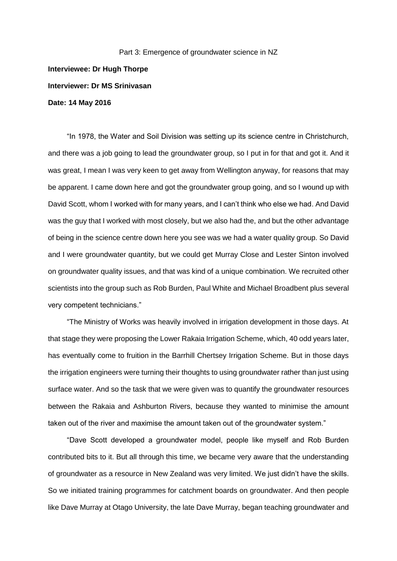Part 3: Emergence of groundwater science in NZ **Interviewee: Dr Hugh Thorpe Interviewer: Dr MS Srinivasan Date: 14 May 2016**

"In 1978, the Water and Soil Division was setting up its science centre in Christchurch, and there was a job going to lead the groundwater group, so I put in for that and got it. And it was great, I mean I was very keen to get away from Wellington anyway, for reasons that may be apparent. I came down here and got the groundwater group going, and so I wound up with David Scott, whom I worked with for many years, and I can't think who else we had. And David was the guy that I worked with most closely, but we also had the, and but the other advantage of being in the science centre down here you see was we had a water quality group. So David and I were groundwater quantity, but we could get Murray Close and Lester Sinton involved on groundwater quality issues, and that was kind of a unique combination. We recruited other scientists into the group such as Rob Burden, Paul White and Michael Broadbent plus several very competent technicians."

"The Ministry of Works was heavily involved in irrigation development in those days. At that stage they were proposing the Lower Rakaia Irrigation Scheme, which, 40 odd years later, has eventually come to fruition in the Barrhill Chertsey Irrigation Scheme. But in those days the irrigation engineers were turning their thoughts to using groundwater rather than just using surface water. And so the task that we were given was to quantify the groundwater resources between the Rakaia and Ashburton Rivers, because they wanted to minimise the amount taken out of the river and maximise the amount taken out of the groundwater system."

"Dave Scott developed a groundwater model, people like myself and Rob Burden contributed bits to it. But all through this time, we became very aware that the understanding of groundwater as a resource in New Zealand was very limited. We just didn't have the skills. So we initiated training programmes for catchment boards on groundwater. And then people like Dave Murray at Otago University, the late Dave Murray, began teaching groundwater and